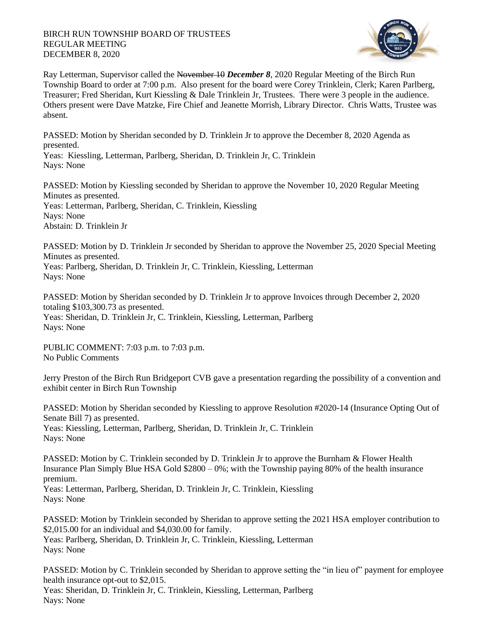## BIRCH RUN TOWNSHIP BOARD OF TRUSTEES REGULAR MEETING DECEMBER 8, 2020



Ray Letterman, Supervisor called the November 10 *December 8*, 2020 Regular Meeting of the Birch Run Township Board to order at 7:00 p.m. Also present for the board were Corey Trinklein, Clerk; Karen Parlberg, Treasurer; Fred Sheridan, Kurt Kiessling & Dale Trinklein Jr, Trustees. There were 3 people in the audience. Others present were Dave Matzke, Fire Chief and Jeanette Morrish, Library Director. Chris Watts, Trustee was absent.

PASSED: Motion by Sheridan seconded by D. Trinklein Jr to approve the December 8, 2020 Agenda as presented.

Yeas: Kiessling, Letterman, Parlberg, Sheridan, D. Trinklein Jr, C. Trinklein Nays: None

PASSED: Motion by Kiessling seconded by Sheridan to approve the November 10, 2020 Regular Meeting Minutes as presented. Yeas: Letterman, Parlberg, Sheridan, C. Trinklein, Kiessling Nays: None Abstain: D. Trinklein Jr

PASSED: Motion by D. Trinklein Jr seconded by Sheridan to approve the November 25, 2020 Special Meeting Minutes as presented. Yeas: Parlberg, Sheridan, D. Trinklein Jr, C. Trinklein, Kiessling, Letterman Nays: None

PASSED: Motion by Sheridan seconded by D. Trinklein Jr to approve Invoices through December 2, 2020 totaling \$103,300.73 as presented. Yeas: Sheridan, D. Trinklein Jr, C. Trinklein, Kiessling, Letterman, Parlberg Nays: None

PUBLIC COMMENT: 7:03 p.m. to 7:03 p.m. No Public Comments

Jerry Preston of the Birch Run Bridgeport CVB gave a presentation regarding the possibility of a convention and exhibit center in Birch Run Township

PASSED: Motion by Sheridan seconded by Kiessling to approve Resolution #2020-14 (Insurance Opting Out of Senate Bill 7) as presented. Yeas: Kiessling, Letterman, Parlberg, Sheridan, D. Trinklein Jr, C. Trinklein Nays: None

PASSED: Motion by C. Trinklein seconded by D. Trinklein Jr to approve the Burnham & Flower Health Insurance Plan Simply Blue HSA Gold  $$2800 - 0\%$ ; with the Township paying 80% of the health insurance premium.

Yeas: Letterman, Parlberg, Sheridan, D. Trinklein Jr, C. Trinklein, Kiessling Nays: None

PASSED: Motion by Trinklein seconded by Sheridan to approve setting the 2021 HSA employer contribution to \$2,015.00 for an individual and \$4,030.00 for family.

Yeas: Parlberg, Sheridan, D. Trinklein Jr, C. Trinklein, Kiessling, Letterman Nays: None

PASSED: Motion by C. Trinklein seconded by Sheridan to approve setting the "in lieu of" payment for employee health insurance opt-out to \$2,015.

Yeas: Sheridan, D. Trinklein Jr, C. Trinklein, Kiessling, Letterman, Parlberg Nays: None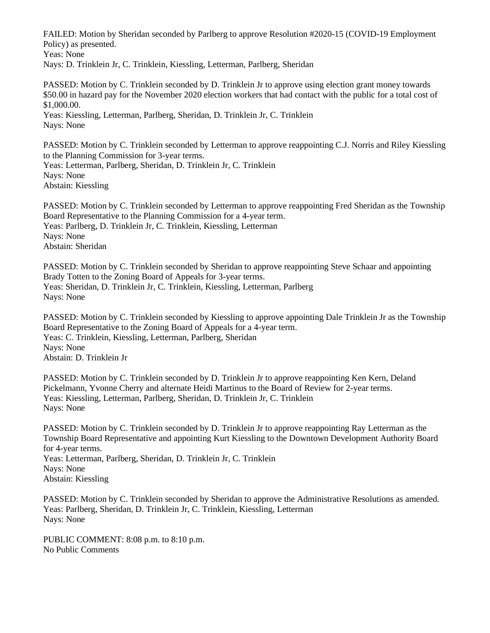FAILED: Motion by Sheridan seconded by Parlberg to approve Resolution #2020-15 (COVID-19 Employment Policy) as presented. Yeas: None

Nays: D. Trinklein Jr, C. Trinklein, Kiessling, Letterman, Parlberg, Sheridan

PASSED: Motion by C. Trinklein seconded by D. Trinklein Jr to approve using election grant money towards \$50.00 in hazard pay for the November 2020 election workers that had contact with the public for a total cost of \$1,000.00. Yeas: Kiessling, Letterman, Parlberg, Sheridan, D. Trinklein Jr, C. Trinklein

Nays: None

PASSED: Motion by C. Trinklein seconded by Letterman to approve reappointing C.J. Norris and Riley Kiessling to the Planning Commission for 3-year terms. Yeas: Letterman, Parlberg, Sheridan, D. Trinklein Jr, C. Trinklein Nays: None Abstain: Kiessling

PASSED: Motion by C. Trinklein seconded by Letterman to approve reappointing Fred Sheridan as the Township Board Representative to the Planning Commission for a 4-year term. Yeas: Parlberg, D. Trinklein Jr, C. Trinklein, Kiessling, Letterman Nays: None Abstain: Sheridan

PASSED: Motion by C. Trinklein seconded by Sheridan to approve reappointing Steve Schaar and appointing Brady Totten to the Zoning Board of Appeals for 3-year terms. Yeas: Sheridan, D. Trinklein Jr, C. Trinklein, Kiessling, Letterman, Parlberg Nays: None

PASSED: Motion by C. Trinklein seconded by Kiessling to approve appointing Dale Trinklein Jr as the Township Board Representative to the Zoning Board of Appeals for a 4-year term. Yeas: C. Trinklein, Kiessling, Letterman, Parlberg, Sheridan Nays: None Abstain: D. Trinklein Jr

PASSED: Motion by C. Trinklein seconded by D. Trinklein Jr to approve reappointing Ken Kern, Deland Pickelmann, Yvonne Cherry and alternate Heidi Martinus to the Board of Review for 2-year terms. Yeas: Kiessling, Letterman, Parlberg, Sheridan, D. Trinklein Jr, C. Trinklein Nays: None

PASSED: Motion by C. Trinklein seconded by D. Trinklein Jr to approve reappointing Ray Letterman as the Township Board Representative and appointing Kurt Kiessling to the Downtown Development Authority Board for 4-year terms. Yeas: Letterman, Parlberg, Sheridan, D. Trinklein Jr, C. Trinklein Nays: None

Abstain: Kiessling

PASSED: Motion by C. Trinklein seconded by Sheridan to approve the Administrative Resolutions as amended. Yeas: Parlberg, Sheridan, D. Trinklein Jr, C. Trinklein, Kiessling, Letterman Nays: None

PUBLIC COMMENT: 8:08 p.m. to 8:10 p.m. No Public Comments